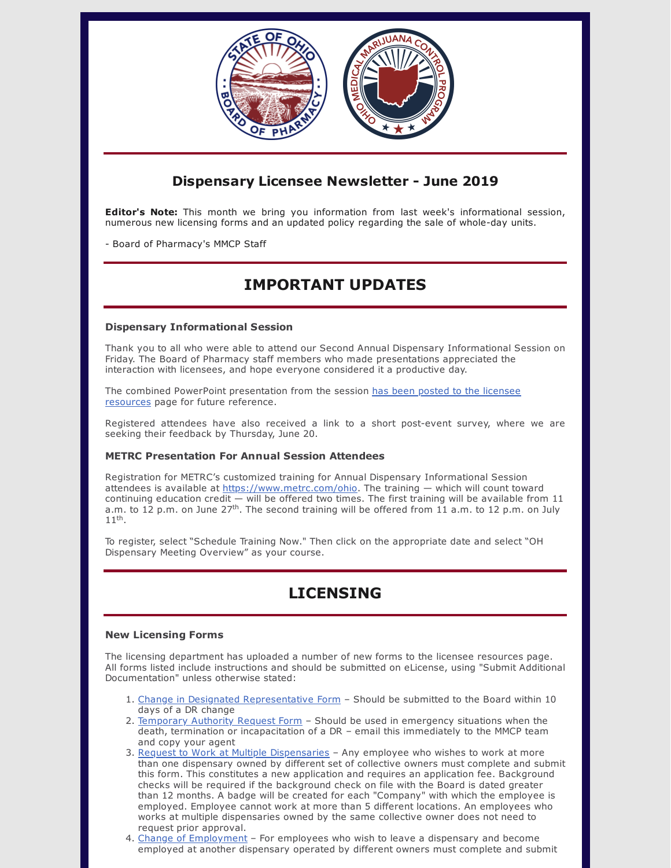

### **Dispensary Licensee Newsletter - June 2019**

**Editor's Note:** This month we bring you information from last week's informational session, numerous new licensing forms and an updated policy regarding the sale of whole-day units.

- Board of Pharmacy's MMCP Staff

## **IMPORTANT UPDATES**

#### **Dispensary Informational Session**

Thank you to all who were able to attend our Second Annual Dispensary Informational Session on Friday. The Board of Pharmacy staff members who made presentations appreciated the interaction with licensees, and hope everyone considered it a productive day.

The combined PowerPoint [presentation](https://www.medicalmarijuana.ohio.gov/Documents/LicenseeResources/Dispensary%20Licensee%20Resources/DISPENSARY%20GENERAL%20OPERATIONS/2019%20Annual%20Dispensary%20Informational%20Session%20Presentation.pdf) from the session has been posted to the licensee resources page for future reference.

Registered attendees have also received a link to a short post-event survey, where we are seeking their feedback by Thursday, June 20.

#### **METRC Presentation For Annual Session Attendees**

Registration for METRC's customized training for Annual Dispensary Informational Session attendees is available at <https://www.metrc.com/ohio>. The training - which will count toward continuing education credit — will be offered two times. The first training will be available from 11 a.m. to 12 p.m. on June 27<sup>th</sup>. The second training will be offered from 11 a.m. to 12 p.m. on July  $11<sup>th</sup>$ .

To register, select "Schedule Training Now." Then click on the appropriate date and select "OH Dispensary Meeting Overview" as your course.

# **LICENSING**

#### **New Licensing Forms**

The licensing department has uploaded a number of new forms to the licensee resources page. All forms listed include instructions and should be submitted on eLicense, using "Submit Additional Documentation" unless otherwise stated:

- 1. Change in Designated [Representative](https://medicalmarijuana.ohio.gov/Documents/LicenseeResources/Dispensary%20Licensee%20Resources/DISPENSARY%20GENERAL%20OPERATIONS/Change%20of%20Designated%20Representative.pdf) Form Should be submitted to the Board within 10 days of a DR change
- 2. [Temporary](https://medicalmarijuana.ohio.gov/Documents/LicenseeResources/Dispensary%20Licensee%20Resources/DISPENSARY%20GENERAL%20OPERATIONS/Temporary%20Certificate%20of%20Authority.pdf) Authority Request Form Should be used in emergency situations when the death, termination or incapacitation of a DR – email this immediately to the MMCP team and copy your agent
- 3. Request to Work at Multiple [Dispensaries](https://medicalmarijuana.ohio.gov/Documents/LicenseeResources/Dispensary%20Licensee%20Resources/DISPENSARY%20EMPLOYEE%20LICENSING/Request%20to%20Work%20at%20More%20than%20One%20Dispensary.pdf) Any employee who wishes to work at more than one dispensary owned by different set of collective owners must complete and submit this form. This constitutes a new application and requires an application fee. Background checks will be required if the background check on file with the Board is dated greater than 12 months. A badge will be created for each "Company" with which the employee is employed. Employee cannot work at more than 5 different locations. An employees who works at multiple dispensaries owned by the same collective owner does not need to request prior approval.
- 4. Change of [Employment](https://medicalmarijuana.ohio.gov/Documents/LicenseeResources/Dispensary%20Licensee%20Resources/DISPENSARY%20EMPLOYEE%20LICENSING/Dispensary_Change%20of%20Employment%20Request%20Form.pdf) For employees who wish to leave a dispensary and become employed at another dispensary operated by different owners must complete and submit